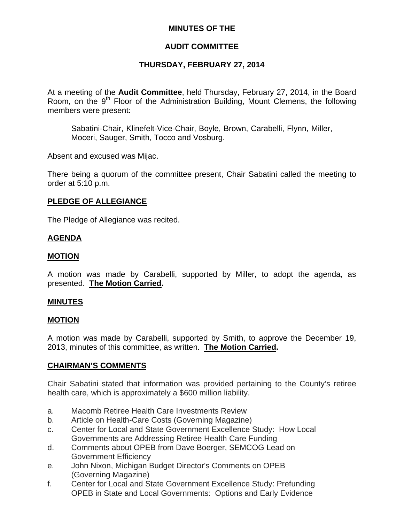# **MINUTES OF THE**

# **AUDIT COMMITTEE**

# **THURSDAY, FEBRUARY 27, 2014**

At a meeting of the **Audit Committee**, held Thursday, February 27, 2014, in the Board Room, on the  $9<sup>th</sup>$  Floor of the Administration Building, Mount Clemens, the following members were present:

Sabatini-Chair, Klinefelt-Vice-Chair, Boyle, Brown, Carabelli, Flynn, Miller, Moceri, Sauger, Smith, Tocco and Vosburg.

Absent and excused was Mijac.

There being a quorum of the committee present, Chair Sabatini called the meeting to order at 5:10 p.m.

# **PLEDGE OF ALLEGIANCE**

The Pledge of Allegiance was recited.

### **AGENDA**

### **MOTION**

A motion was made by Carabelli, supported by Miller, to adopt the agenda, as presented. **The Motion Carried.** 

#### **MINUTES**

#### **MOTION**

A motion was made by Carabelli, supported by Smith, to approve the December 19, 2013, minutes of this committee, as written. **The Motion Carried.** 

# **CHAIRMAN'S COMMENTS**

Chair Sabatini stated that information was provided pertaining to the County's retiree health care, which is approximately a \$600 million liability.

- a. Macomb Retiree Health Care Investments Review
- b. Article on Health-Care Costs (Governing Magazine)
- c. Center for Local and State Government Excellence Study: How Local Governments are Addressing Retiree Health Care Funding
- d. Comments about OPEB from Dave Boerger, SEMCOG Lead on Government Efficiency
- e. John Nixon, Michigan Budget Director's Comments on OPEB (Governing Magazine)
- f. Center for Local and State Government Excellence Study: Prefunding OPEB in State and Local Governments: Options and Early Evidence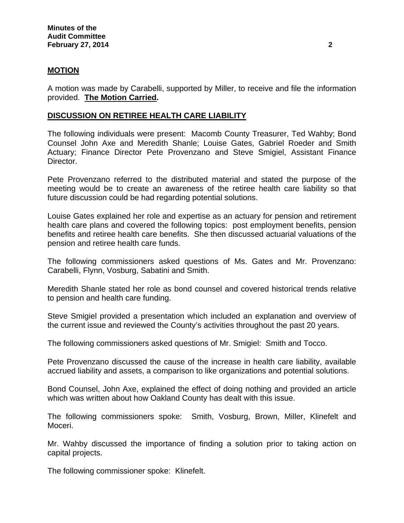### **MOTION**

A motion was made by Carabelli, supported by Miller, to receive and file the information provided. **The Motion Carried.** 

### **DISCUSSION ON RETIREE HEALTH CARE LIABILITY**

The following individuals were present: Macomb County Treasurer, Ted Wahby; Bond Counsel John Axe and Meredith Shanle; Louise Gates, Gabriel Roeder and Smith Actuary; Finance Director Pete Provenzano and Steve Smigiel, Assistant Finance Director.

Pete Provenzano referred to the distributed material and stated the purpose of the meeting would be to create an awareness of the retiree health care liability so that future discussion could be had regarding potential solutions.

Louise Gates explained her role and expertise as an actuary for pension and retirement health care plans and covered the following topics: post employment benefits, pension benefits and retiree health care benefits. She then discussed actuarial valuations of the pension and retiree health care funds.

The following commissioners asked questions of Ms. Gates and Mr. Provenzano: Carabelli, Flynn, Vosburg, Sabatini and Smith.

Meredith Shanle stated her role as bond counsel and covered historical trends relative to pension and health care funding.

Steve Smigiel provided a presentation which included an explanation and overview of the current issue and reviewed the County's activities throughout the past 20 years.

The following commissioners asked questions of Mr. Smigiel: Smith and Tocco.

Pete Provenzano discussed the cause of the increase in health care liability, available accrued liability and assets, a comparison to like organizations and potential solutions.

Bond Counsel, John Axe, explained the effect of doing nothing and provided an article which was written about how Oakland County has dealt with this issue.

The following commissioners spoke: Smith, Vosburg, Brown, Miller, Klinefelt and Moceri.

Mr. Wahby discussed the importance of finding a solution prior to taking action on capital projects.

The following commissioner spoke: Klinefelt.